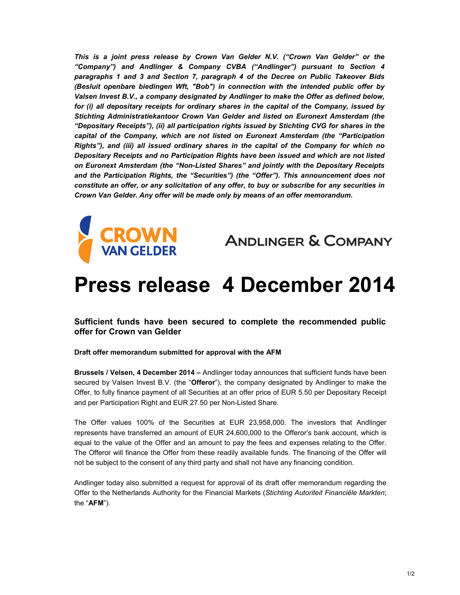*This is a joint press release by Crown Van Gelder N.V. ("Crown Van Gelder" or the "Company") and Andlinger & Company CVBA ("Andlinger") pursuant to Section 4 paragraphs 1 and 3 and Section 7, paragraph 4 of the Decree on Public Takeover Bids (Besluit openbare biedingen Wft, "Bob") in connection with the intended public offer by Valsen Invest B.V., a company designated by Andlinger to make the Offer as defined below, for (i) all depositary receipts for ordinary shares in the capital of the Company, issued by Stichting Administratiekantoor Crown Van Gelder and listed on Euronext Amsterdam (the "Depositary Receipts"), (ii) all participation rights issued by Stichting CVG for shares in the capital of the Company, which are not listed on Euronext Amsterdam (the "Participation Rights"), and (iii) all issued ordinary shares in the capital of the Company for which no Depositary Receipts and no Participation Rights have been issued and which are not listed on Euronext Amsterdam (the "Non-Listed Shares" and jointly with the Depositary Receipts and the Participation Rights, the "Securities") (the "Offer"). This announcement does not constitute an offer, or any solicitation of any offer, to buy or subscribe for any securities in Crown Van Gelder. Any offer will be made only by means of an offer memorandum.* 



**ANDLINGER & COMPANY** 

## **Press release 4 December 2014**

**Sufficient funds have been secured to complete the recommended public offer for Crown van Gelder** 

**Draft offer memorandum submitted for approval with the AFM**

**Brussels / Velsen, 4 December 2014 –** Andlinger today announces that sufficient funds have been secured by Valsen Invest B.V. (the "**Offeror**"), the company designated by Andlinger to make the Offer, to fully finance payment of all Securities at an offer price of EUR 5.50 per Depositary Receipt and per Participation Right and EUR 27.50 per Non-Listed Share.

The Offer values 100% of the Securities at EUR 23,958,000. The investors that Andlinger represents have transferred an amount of EUR 24,600,000 to the Offeror's bank account, which is equal to the value of the Offer and an amount to pay the fees and expenses relating to the Offer. The Offeror will finance the Offer from these readily available funds. The financing of the Offer will not be subject to the consent of any third party and shall not have any financing condition.

Andlinger today also submitted a request for approval of its draft offer memorandum regarding the Offer to the Netherlands Authority for the Financial Markets (*Stichting Autoriteit Financiële Markten*; the "**AFM**").